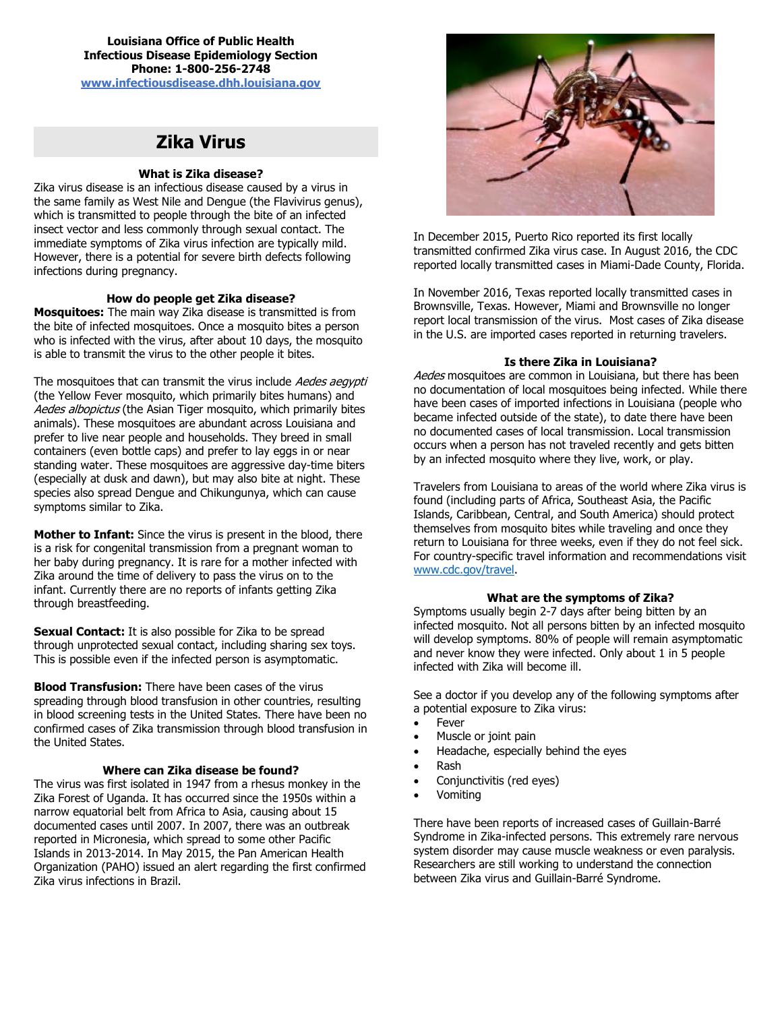**Louisiana Office of Public Health Infectious Disease Epidemiology Section Phone: 1-800-256-2748 [www.infectiousdisease.dhh.louisiana.gov](http://www.infectiousdisease.dhh.louisiana.gov/)**

# **Zika Virus**

# **What is Zika disease?**

Zika virus disease is an infectious disease caused by a virus in the same family as West Nile and Dengue (the Flavivirus genus), which is transmitted to people through the bite of an infected insect vector and less commonly through sexual contact. The immediate symptoms of Zika virus infection are typically mild. However, there is a potential for severe birth defects following infections during pregnancy.

# **How do people get Zika disease?**

**Mosquitoes:** The main way Zika disease is transmitted is from the bite of infected mosquitoes. Once a mosquito bites a person who is infected with the virus, after about 10 days, the mosquito is able to transmit the virus to the other people it bites.

The mosquitoes that can transmit the virus include Aedes aegypti (the Yellow Fever mosquito, which primarily bites humans) and Aedes albopictus (the Asian Tiger mosquito, which primarily bites animals). These mosquitoes are abundant across Louisiana and prefer to live near people and households. They breed in small containers (even bottle caps) and prefer to lay eggs in or near standing water. These mosquitoes are aggressive day-time biters (especially at dusk and dawn), but may also bite at night. These species also spread Dengue and Chikungunya, which can cause symptoms similar to Zika.

**Mother to Infant:** Since the virus is present in the blood, there is a risk for congenital transmission from a pregnant woman to her baby during pregnancy. It is rare for a mother infected with Zika around the time of delivery to pass the virus on to the infant. Currently there are no reports of infants getting Zika through breastfeeding.

**Sexual Contact:** It is also possible for Zika to be spread through unprotected sexual contact, including sharing sex toys. This is possible even if the infected person is asymptomatic.

**Blood Transfusion:** There have been cases of the virus spreading through blood transfusion in other countries, resulting in blood screening tests in the United States. There have been no confirmed cases of Zika transmission through blood transfusion in the United States.

## **Where can Zika disease be found?**

The virus was first isolated in 1947 from a rhesus monkey in the Zika Forest of Uganda. It has occurred since the 1950s within a narrow equatorial belt from Africa to Asia, causing about 15 documented cases until 2007. In 2007, there was an outbreak reported in Micronesia, which spread to some other Pacific Islands in 2013-2014. In May 2015, the Pan American Health Organization (PAHO) issued an alert regarding the first confirmed Zika virus infections in Brazil.



In December 2015, Puerto Rico reported its first locally transmitted confirmed Zika virus case. In August 2016, the CDC reported locally transmitted cases in Miami-Dade County, Florida.

In November 2016, Texas reported locally transmitted cases in Brownsville, Texas. However, Miami and Brownsville no longer report local transmission of the virus. Most cases of Zika disease in the U.S. are imported cases reported in returning travelers.

# **Is there Zika in Louisiana?**

Aedes mosquitoes are common in Louisiana, but there has been no documentation of local mosquitoes being infected. While there have been cases of imported infections in Louisiana (people who became infected outside of the state), to date there have been no documented cases of local transmission. Local transmission occurs when a person has not traveled recently and gets bitten by an infected mosquito where they live, work, or play.

Travelers from Louisiana to areas of the world where Zika virus is found (including parts of Africa, Southeast Asia, the Pacific Islands, Caribbean, Central, and South America) should protect themselves from mosquito bites while traveling and once they return to Louisiana for three weeks, even if they do not feel sick. For country-specific travel information and recommendations visit [www.cdc.gov/travel.](http://www.cdc.gov/travel)

# **What are the symptoms of Zika?**

Symptoms usually begin 2-7 days after being bitten by an infected mosquito. Not all persons bitten by an infected mosquito will develop symptoms. 80% of people will remain asymptomatic and never know they were infected. Only about 1 in 5 people infected with Zika will become ill.

See a doctor if you develop any of the following symptoms after a potential exposure to Zika virus:

- Fever
- Muscle or joint pain
- Headache, especially behind the eyes
- Rash
- Conjunctivitis (red eyes)
- Vomiting

There have been reports of increased cases of Guillain-Barré Syndrome in Zika-infected persons. This extremely rare nervous system disorder may cause muscle weakness or even paralysis. Researchers are still working to understand the connection between Zika virus and Guillain-Barré Syndrome.